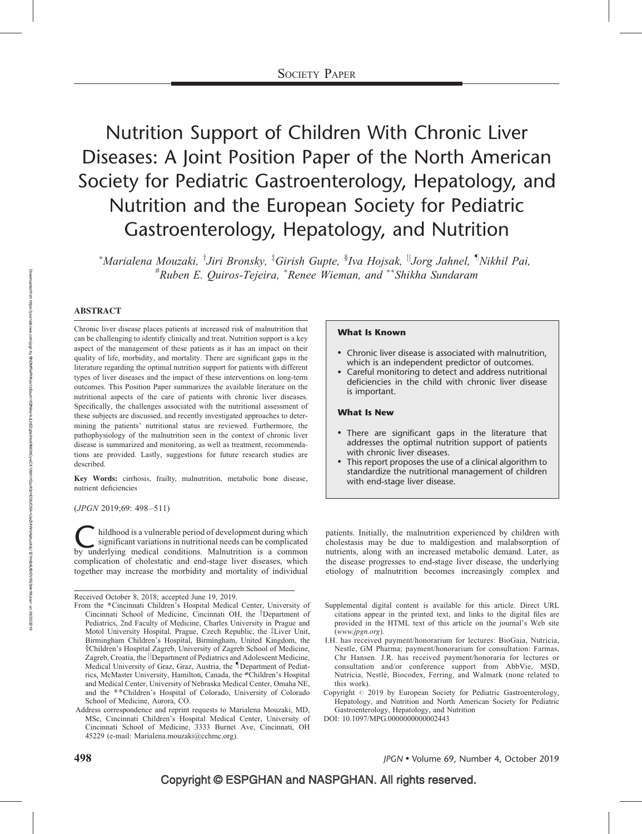# Nutrition Support of Children With Chronic Liver Diseases: A Joint Position Paper of the North American Society for Pediatric Gastroenterology, Hepatology, and Nutrition and the European Society for Pediatric Gastroenterology, Hepatology, and Nutrition

\*Marialena Mouzaki, <sup>†</sup>Jiri Bronsky, <sup>‡</sup>Girish Gupte, <sup>§</sup>Iva Hojsak, <sup>||</sup>Jorg Jahnel, <sup>¶</sup>Nikhil Pai, #Ruben E. Quiros-Tejeira, \*Renee Wieman, and \*\*Shikha Sundaram

### ABSTRACT

Chronic liver disease places patients at increased risk of malnutrition that can be challenging to identify clinically and treat. Nutrition support is a key aspect of the management of these patients as it has an impact on their quality of life, morbidity, and mortality. There are significant gaps in the literature regarding the optimal nutrition support for patients with different types of liver diseases and the impact of these interventions on long-term outcomes. This Position Paper summarizes the available literature on the nutritional aspects of the care of patients with chronic liver diseases. Specifically, the challenges associated with the nutritional assessment of these subjects are discussed, and recently investigated approaches to determining the patients' nutritional status are reviewed. Furthermore, the pathophysiology of the malnutrition seen in the context of chronic liver disease is summarized and monitoring, as well as treatment, recommendations are provided. Lastly, suggestions for future research studies are described.

Key Words: cirrhosis, frailty, malnutrition, metabolic bone disease, nutrient deficiencies

(JPGN 2019;69: 498–511)

Inildhood is a vulnerable period of development during which<br>significant variations in nutritional needs can be complicated<br>by underlying medical conditions. Malnutrition is a common significant variations in nutritional needs can be complicated complication of cholestatic and end-stage liver diseases, which together may increase the morbidity and mortality of individual

### What Is Known

- Chronic liver disease is associated with malnutrition, which is an independent predictor of outcomes.
- Careful monitoring to detect and address nutritional deficiencies in the child with chronic liver disease is important.

### What Is New

- There are significant gaps in the literature that addresses the optimal nutrition support of patients with chronic liver diseases.
- This report proposes the use of a clinical algorithm to standardize the nutritional management of children with end-stage liver disease.

patients. Initially, the malnutrition experienced by children with cholestasis may be due to maldigestion and malabsorption of nutrients, along with an increased metabolic demand. Later, as the disease progresses to end-stage liver disease, the underlying etiology of malnutrition becomes increasingly complex and

- Supplemental digital content is available for this article. Direct URL citations appear in the printed text, and links to the digital files are provided in the HTML text of this article on the journal's Web site ([www.jpgn.org](http://www.jpgn.org/)).
- I.H. has received payment/honorarium for lectures: BioGaia, Nutricia, Nestle, GM Pharma; payment/honorarium for consultation: Farmas, Chr Hansen. J.R. has received payment/honoraria for lectures or consultation and/or conference support from AbbVie, MSD, Nutricia, Nestlé, Biocodex, Ferring, and Walmark (none related to this work).
- Copyright  $@$  2019 by European Society for Pediatric Gastroenterology, Hepatology, and Nutrition and North American Society for Pediatric Gastroenterology, Hepatology, and Nutrition

DOI: [10.1097/MPG.0000000000002443](http://dx.doi.org/10.1097/MPG.0000000000002443)

Received October 8, 2018; accepted June 19, 2019.

From the -Cincinnati Children's Hospital Medical Center, University of Cincinnati School of Medicine, Cincinnati OH, the <sup>†</sup>Department of Pediatrics, 2nd Faculty of Medicine, Charles University in Prague and Motol University Hospital, Prague, Czech Republic, the ‡Liver Unit, Birmingham Children's Hospital, Birmingham, United Kingdom, the §Children's Hospital Zagreb, University of Zagreb School of Medicine, Zagreb, Croatia, the *Department of Pediatrics and Adolescent Medicine*, Medical University of Graz, Graz, Austria, the *Department* of Pediatrics, McMaster University, Hamilton, Canada, the #Children's Hospital and Medical Center, University of Nebraska Medical Center, Omaha NE, and the \*\*Children's Hospital of Colorado, University of Colorado School of Medicine, Aurora, CO.

Address correspondence and reprint requests to Marialena Mouzaki, MD, MSc, Cincinnati Children's Hospital Medical Center, University of Cincinnati School of Medicine, 3333 Burnet Ave, Cincinnati, OH 45229 (e-mail: [Marialena.mouzaki@cchmc.org\)](mailto:Marialena.mouzaki@cchmc.org).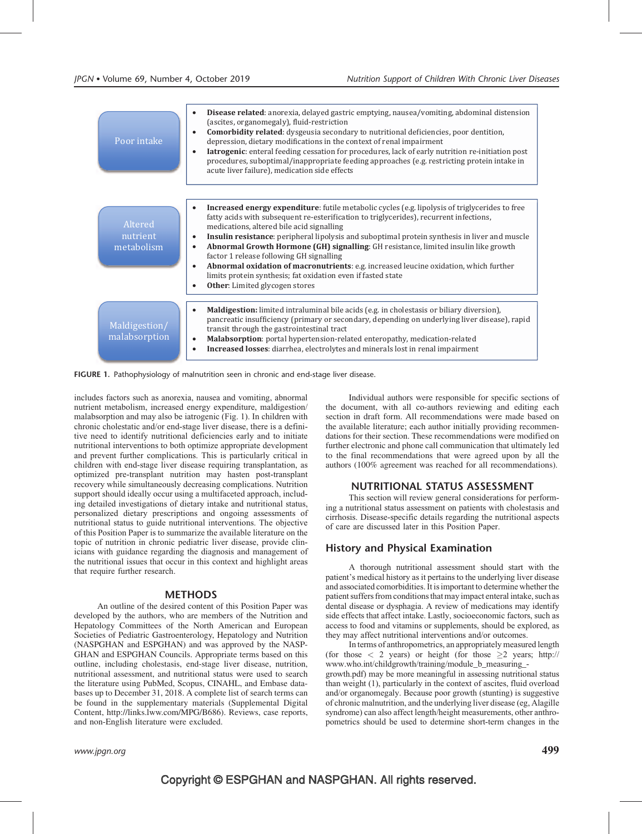



includes factors such as anorexia, nausea and vomiting, abnormal nutrient metabolism, increased energy expenditure, maldigestion/ malabsorption and may also be iatrogenic (Fig. 1). In children with chronic cholestatic and/or end-stage liver disease, there is a definitive need to identify nutritional deficiencies early and to initiate nutritional interventions to both optimize appropriate development and prevent further complications. This is particularly critical in children with end-stage liver disease requiring transplantation, as optimized pre-transplant nutrition may hasten post-transplant recovery while simultaneously decreasing complications. Nutrition support should ideally occur using a multifaceted approach, including detailed investigations of dietary intake and nutritional status, personalized dietary prescriptions and ongoing assessments of nutritional status to guide nutritional interventions. The objective of this Position Paper is to summarize the available literature on the topic of nutrition in chronic pediatric liver disease, provide clinicians with guidance regarding the diagnosis and management of the nutritional issues that occur in this context and highlight areas that require further research.

### **METHODS**

An outline of the desired content of this Position Paper was developed by the authors, who are members of the Nutrition and Hepatology Committees of the North American and European Societies of Pediatric Gastroenterology, Hepatology and Nutrition (NASPGHAN and ESPGHAN) and was approved by the NASP-GHAN and ESPGHAN Councils. Appropriate terms based on this outline, including cholestasis, end-stage liver disease, nutrition, nutritional assessment, and nutritional status were used to search the literature using PubMed, Scopus, CINAHL, and Embase databases up to December 31, 2018. A complete list of search terms can be found in the supplementary materials (Supplemental Digital Content, [http://links.lww.com/MPG/B686\)](http://links.lww.com/MPG/B686). Reviews, case reports, and non-English literature were excluded.

Individual authors were responsible for specific sections of the document, with all co-authors reviewing and editing each section in draft form. All recommendations were made based on the available literature; each author initially providing recommendations for their section. These recommendations were modified on further electronic and phone call communication that ultimately led to the final recommendations that were agreed upon by all the authors (100% agreement was reached for all recommendations).

### NUTRITIONAL STATUS ASSESSMENT

This section will review general considerations for performing a nutritional status assessment on patients with cholestasis and cirrhosis. Disease-specific details regarding the nutritional aspects of care are discussed later in this Position Paper.

### History and Physical Examination

A thorough nutritional assessment should start with the patient's medical history as it pertains to the underlying liver disease and associated comorbidities. It is important to determine whether the patient suffers from conditions that may impact enteral intake, such as dental disease or dysphagia. A review of medications may identify side effects that affect intake. Lastly, socioeconomic factors, such as access to food and vitamins or supplements, should be explored, as they may affect nutritional interventions and/or outcomes.

In terms of anthropometrics, an appropriately measured length (for those  $\langle 2 \rangle$  years) or height (for those  $\geq 2$  years; [http://](http://www.who.int/childgrowth/training/module_b_measuring_growth.pdf) [www.who.int/childgrowth/training/module\\_b\\_measuring\\_-](http://www.who.int/childgrowth/training/module_b_measuring_growth.pdf)

[growth.pdf\)](http://www.who.int/childgrowth/training/module_b_measuring_growth.pdf) may be more meaningful in assessing nutritional status than weight (1), particularly in the context of ascites, fluid overload and/or organomegaly. Because poor growth (stunting) is suggestive of chronic malnutrition, and the underlying liver disease (eg, Alagille syndrome) can also affect length/height measurements, other anthropometrics should be used to determine short-term changes in the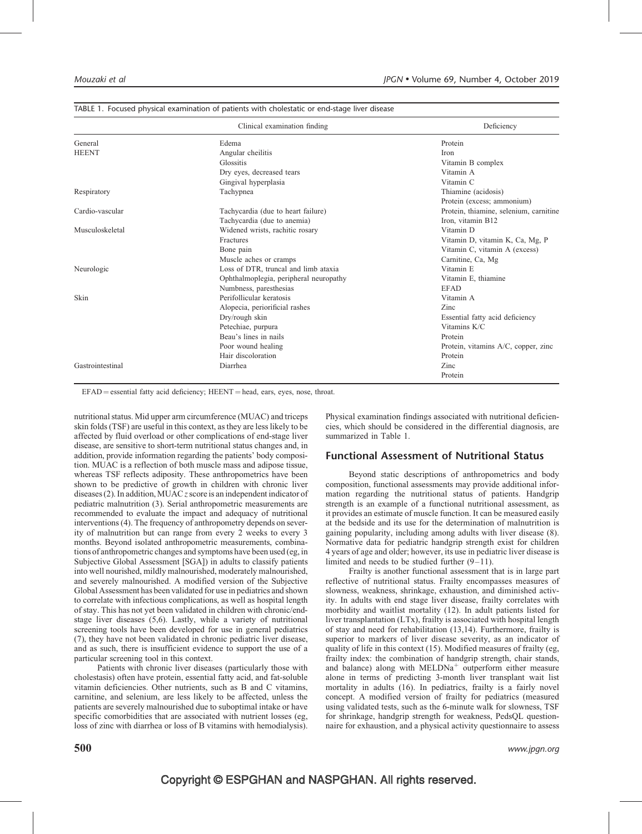|                  | Clinical examination finding           | Deficiency                             |
|------------------|----------------------------------------|----------------------------------------|
| General          | Edema                                  | Protein                                |
| <b>HEENT</b>     | Angular cheilitis                      | Iron                                   |
|                  | Glossitis                              | Vitamin B complex                      |
|                  | Dry eyes, decreased tears              | Vitamin A                              |
|                  | Gingival hyperplasia                   | Vitamin C                              |
| Respiratory      | Tachypnea                              | Thiamine (acidosis)                    |
|                  |                                        | Protein (excess; ammonium)             |
| Cardio-vascular  | Tachycardia (due to heart failure)     | Protein, thiamine, selenium, carnitine |
|                  | Tachycardia (due to anemia)            | Iron, vitamin B12                      |
| Musculoskeletal  | Widened wrists, rachitic rosary        | Vitamin D                              |
|                  | Fractures                              | Vitamin D, vitamin K, Ca, Mg, P        |
|                  | Bone pain                              | Vitamin C, vitamin A (excess)          |
|                  | Muscle aches or cramps                 | Carnitine, Ca, Mg                      |
| Neurologic       | Loss of DTR, truncal and limb ataxia   | Vitamin E                              |
|                  | Ophthalmoplegia, peripheral neuropathy | Vitamin E, thiamine                    |
|                  | Numbness, paresthesias                 | <b>EFAD</b>                            |
| Skin             | Perifollicular keratosis               | Vitamin A                              |
|                  | Alopecia, periorificial rashes         | Zinc                                   |
|                  | Dry/rough skin                         | Essential fatty acid deficiency        |
|                  | Petechiae, purpura                     | Vitamins K/C                           |
|                  | Beau's lines in nails                  | Protein                                |
|                  | Poor wound healing                     | Protein, vitamins A/C, copper, zinc    |
|                  | Hair discoloration                     | Protein                                |
| Gastrointestinal | Diarrhea                               | Zinc                                   |
|                  |                                        | Protein                                |

#### TABLE 1. Focused physical examination of patients with cholestatic or end-stage liver disease

 $EFAD =$  essential fatty acid deficiency;  $HEENT =$  head, ears, eyes, nose, throat.

nutritional status. Mid upper arm circumference (MUAC) and triceps skin folds (TSF) are useful in this context, as they are less likely to be affected by fluid overload or other complications of end-stage liver disease, are sensitive to short-term nutritional status changes and, in addition, provide information regarding the patients' body composition. MUAC is a reflection of both muscle mass and adipose tissue, whereas TSF reflects adiposity. These anthropometrics have been shown to be predictive of growth in children with chronic liver diseases (2). In addition, MUAC  $z$  score is an independent indicator of pediatric malnutrition (3). Serial anthropometric measurements are recommended to evaluate the impact and adequacy of nutritional interventions (4). The frequency of anthropometry depends on severity of malnutrition but can range from every 2 weeks to every 3 months. Beyond isolated anthropometric measurements, combinations of anthropometric changes and symptoms have been used (eg, in Subjective Global Assessment [SGA]) in adults to classify patients into well nourished, mildly malnourished, moderately malnourished, and severely malnourished. A modified version of the Subjective Global Assessment has been validated for use in pediatrics and shown to correlate with infectious complications, as well as hospital length of stay. This has not yet been validated in children with chronic/endstage liver diseases (5,6). Lastly, while a variety of nutritional screening tools have been developed for use in general pediatrics (7), they have not been validated in chronic pediatric liver disease, and as such, there is insufficient evidence to support the use of a particular screening tool in this context.

Patients with chronic liver diseases (particularly those with cholestasis) often have protein, essential fatty acid, and fat-soluble vitamin deficiencies. Other nutrients, such as B and C vitamins, carnitine, and selenium, are less likely to be affected, unless the patients are severely malnourished due to suboptimal intake or have specific comorbidities that are associated with nutrient losses (eg, loss of zinc with diarrhea or loss of B vitamins with hemodialysis). Physical examination findings associated with nutritional deficiencies, which should be considered in the differential diagnosis, are summarized in Table 1.

### Functional Assessment of Nutritional Status

Beyond static descriptions of anthropometrics and body composition, functional assessments may provide additional information regarding the nutritional status of patients. Handgrip strength is an example of a functional nutritional assessment, as it provides an estimate of muscle function. It can be measured easily at the bedside and its use for the determination of malnutrition is gaining popularity, including among adults with liver disease (8). Normative data for pediatric handgrip strength exist for children 4 years of age and older; however, its use in pediatric liver disease is limited and needs to be studied further  $(9-11)$ .

Frailty is another functional assessment that is in large part reflective of nutritional status. Frailty encompasses measures of slowness, weakness, shrinkage, exhaustion, and diminished activity. In adults with end stage liver disease, frailty correlates with morbidity and waitlist mortality (12). In adult patients listed for liver transplantation (LTx), frailty is associated with hospital length of stay and need for rehabilitation (13,14). Furthermore, frailty is superior to markers of liver disease severity, as an indicator of quality of life in this context (15). Modified measures of frailty (eg, frailty index: the combination of handgrip strength, chair stands, and balance) along with  $MELDNA<sup>+</sup>$  outperform either measure alone in terms of predicting 3-month liver transplant wait list mortality in adults (16). In pediatrics, frailty is a fairly novel concept. A modified version of frailty for pediatrics (measured using validated tests, such as the 6-minute walk for slowness, TSF for shrinkage, handgrip strength for weakness, PedsQL questionnaire for exhaustion, and a physical activity questionnaire to assess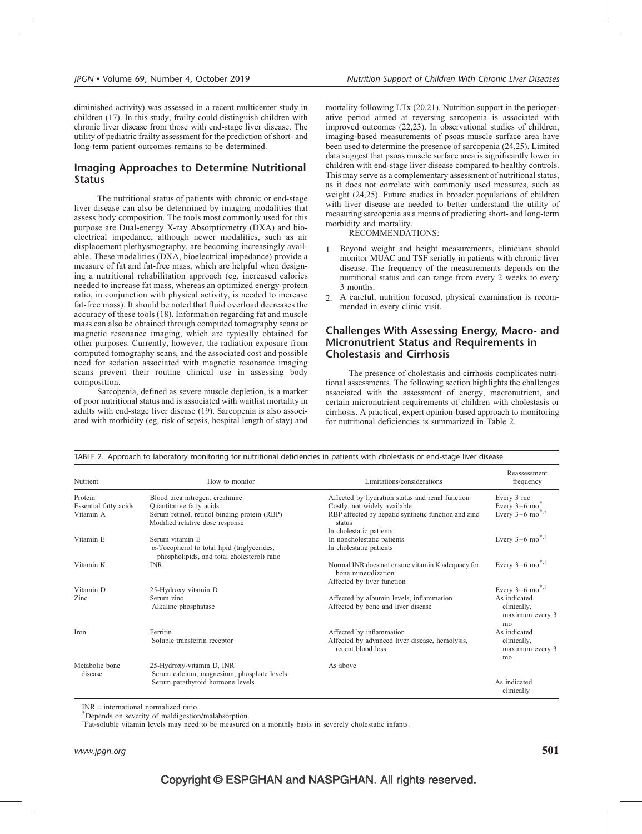diminished activity) was assessed in a recent multicenter study in children (17). In this study, frailty could distinguish children with chronic liver disease from those with end-stage liver disease. The utility of pediatric frailty assessment for the prediction of short- and long-term patient outcomes remains to be determined.

### Imaging Approaches to Determine Nutritional **Status**

The nutritional status of patients with chronic or end-stage liver disease can also be determined by imaging modalities that assess body composition. The tools most commonly used for this purpose are Dual-energy X-ray Absorptiometry (DXA) and bioelectrical impedance, although newer modalities, such as air displacement plethysmography, are becoming increasingly available. These modalities (DXA, bioelectrical impedance) provide a measure of fat and fat-free mass, which are helpful when designing a nutritional rehabilitation approach (eg, increased calories needed to increase fat mass, whereas an optimized energy-protein ratio, in conjunction with physical activity, is needed to increase fat-free mass). It should be noted that fluid overload decreases the accuracy of these tools (18). Information regarding fat and muscle mass can also be obtained through computed tomography scans or magnetic resonance imaging, which are typically obtained for other purposes. Currently, however, the radiation exposure from computed tomography scans, and the associated cost and possible need for sedation associated with magnetic resonance imaging scans prevent their routine clinical use in assessing body composition.

Sarcopenia, defined as severe muscle depletion, is a marker of poor nutritional status and is associated with waitlist mortality in adults with end-stage liver disease (19). Sarcopenia is also associated with morbidity (eg, risk of sepsis, hospital length of stay) and mortality following LTx (20,21). Nutrition support in the perioperative period aimed at reversing sarcopenia is associated with improved outcomes (22,23). In observational studies of children, imaging-based measurements of psoas muscle surface area have been used to determine the presence of sarcopenia (24,25). Limited data suggest that psoas muscle surface area is significantly lower in children with end-stage liver disease compared to healthy controls. This may serve as a complementary assessment of nutritional status, as it does not correlate with commonly used measures, such as weight (24,25). Future studies in broader populations of children with liver disease are needed to better understand the utility of measuring sarcopenia as a means of predicting short- and long-term morbidity and mortality.

RECOMMENDATIONS:

- 1. Beyond weight and height measurements, clinicians should monitor MUAC and TSF serially in patients with chronic liver disease. The frequency of the measurements depends on the nutritional status and can range from every 2 weeks to every 3 months.
- 2. A careful, nutrition focused, physical examination is recommended in every clinic visit.

### Challenges With Assessing Energy, Macro- and Micronutrient Status and Requirements in Cholestasis and Cirrhosis

The presence of cholestasis and cirrhosis complicates nutritional assessments. The following section highlights the challenges associated with the assessment of energy, macronutrient, and certain micronutrient requirements of children with cholestasis or cirrhosis. A practical, expert opinion-based approach to monitoring for nutritional deficiencies is summarized in Table 2.

| Nutrient              | How to monitor                                                                                     | Limitations/considerations                                                                             | Reassessment<br>frequency            |
|-----------------------|----------------------------------------------------------------------------------------------------|--------------------------------------------------------------------------------------------------------|--------------------------------------|
| Protein               | Blood urea nitrogen, creatinine                                                                    | Affected by hydration status and renal function                                                        | Every 3 mo                           |
| Essential fatty acids | Quantitative fatty acids                                                                           | Costly, not widely available                                                                           | Every $3-6$ mo                       |
| Vitamin A             | Serum retinol, retinol binding protein (RBP)<br>Modified relative dose response                    | RBP affected by hepatic synthetic function and zinc<br>status                                          | Every $3-6$ mo <sup>*,†</sup>        |
|                       |                                                                                                    | In cholestatic patients                                                                                |                                      |
| Vitamin E             | Serum vitamin E                                                                                    | In noncholestatic patients                                                                             | Every $3-6$ mo <sup>*,†</sup>        |
|                       | $\alpha$ -Tocopherol to total lipid (triglycerides,<br>phospholipids, and total cholesterol) ratio | In cholestatic patients                                                                                |                                      |
| Vitamin K             | <b>INR</b>                                                                                         | Normal INR does not ensure vitamin K adequacy for<br>bone mineralization<br>Affected by liver function | Every $3-6$ mo <sup>*,†</sup>        |
| Vitamin D             | 25-Hydroxy vitamin D                                                                               |                                                                                                        | Every $3-6$ mo <sup>*,†</sup>        |
| Zinc                  | Serum zinc                                                                                         | Affected by albumin levels, inflammation                                                               | As indicated                         |
|                       | Alkaline phosphatase                                                                               | Affected by bone and liver disease                                                                     | clinically,                          |
|                       |                                                                                                    |                                                                                                        | maximum every 3<br>mo                |
| Iron                  | Ferritin                                                                                           | Affected by inflammation                                                                               | As indicated                         |
|                       | Soluble transferrin receptor                                                                       | Affected by advanced liver disease, hemolysis,<br>recent blood loss                                    | clinically,<br>maximum every 3<br>mo |
| Metabolic bone        | 25-Hydroxy-vitamin D, INR                                                                          | As above                                                                                               |                                      |
| disease               | Serum calcium, magnesium, phosphate levels                                                         |                                                                                                        |                                      |
|                       | Serum parathyroid hormone levels                                                                   |                                                                                                        | As indicated<br>clinically           |

TABLE 2. Approach to laboratory monitoring for nutritional deficiencies in patients with cholestasis or end-stage liver disease

 $INR =$  international normalized ratio.

Depends on severity of maldigestion/malabsorption.

<sup>†</sup>Fat-soluble vitamin levels may need to be measured on a monthly basis in severely cholestatic infants.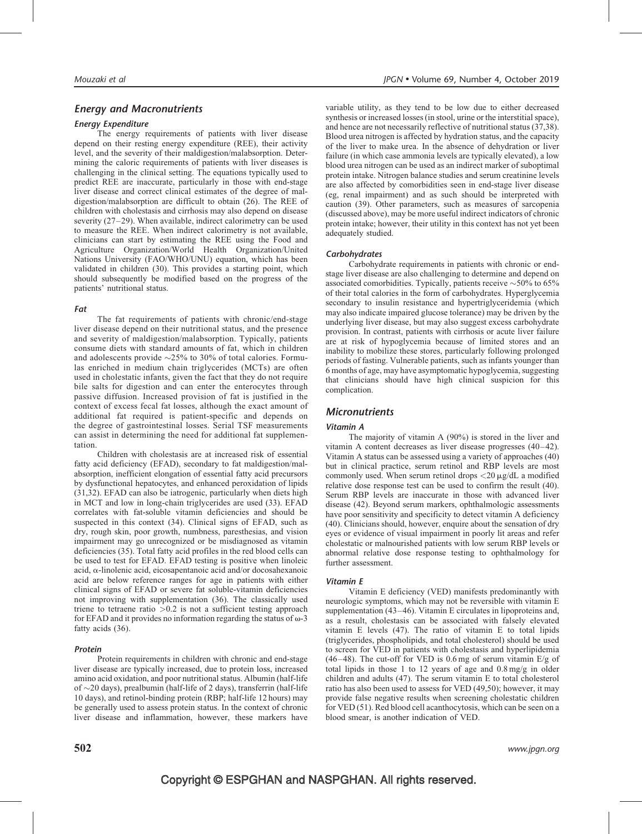### Energy and Macronutrients

### Energy Expenditure

The energy requirements of patients with liver disease depend on their resting energy expenditure (REE), their activity level, and the severity of their maldigestion/malabsorption. Determining the caloric requirements of patients with liver diseases is challenging in the clinical setting. The equations typically used to predict REE are inaccurate, particularly in those with end-stage liver disease and correct clinical estimates of the degree of maldigestion/malabsorption are difficult to obtain (26). The REE of children with cholestasis and cirrhosis may also depend on disease severity (27–29). When available, indirect calorimetry can be used to measure the REE. When indirect calorimetry is not available, clinicians can start by estimating the REE using the Food and Agriculture Organization/World Health Organization/United Nations University (FAO/WHO/UNU) equation, which has been validated in children (30). This provides a starting point, which should subsequently be modified based on the progress of the patients' nutritional status.

### Fat

The fat requirements of patients with chronic/end-stage liver disease depend on their nutritional status, and the presence and severity of maldigestion/malabsorption. Typically, patients consume diets with standard amounts of fat, which in children and adolescents provide  $\sim$ 25% to 30% of total calories. Formulas enriched in medium chain triglycerides (MCTs) are often used in cholestatic infants, given the fact that they do not require bile salts for digestion and can enter the enterocytes through passive diffusion. Increased provision of fat is justified in the context of excess fecal fat losses, although the exact amount of additional fat required is patient-specific and depends on the degree of gastrointestinal losses. Serial TSF measurements can assist in determining the need for additional fat supplementation.

Children with cholestasis are at increased risk of essential fatty acid deficiency (EFAD), secondary to fat maldigestion/malabsorption, inefficient elongation of essential fatty acid precursors by dysfunctional hepatocytes, and enhanced peroxidation of lipids (31,32). EFAD can also be iatrogenic, particularly when diets high in MCT and low in long-chain triglycerides are used (33). EFAD correlates with fat-soluble vitamin deficiencies and should be suspected in this context (34). Clinical signs of EFAD, such as dry, rough skin, poor growth, numbness, paresthesias, and vision impairment may go unrecognized or be misdiagnosed as vitamin deficiencies (35). Total fatty acid profiles in the red blood cells can be used to test for EFAD. EFAD testing is positive when linoleic acid,  $\alpha$ -linolenic acid, eicosapentanoic acid and/or docosahexanoic acid are below reference ranges for age in patients with either clinical signs of EFAD or severe fat soluble-vitamin deficiencies not improving with supplementation (36). The classically used triene to tetraene ratio  $>0.2$  is not a sufficient testing approach for EFAD and it provides no information regarding the status of  $\omega$ -3 fatty acids (36).

#### Protein

Protein requirements in children with chronic and end-stage liver disease are typically increased, due to protein loss, increased amino acid oxidation, and poor nutritional status. Albumin (half-life of  $\sim$ 20 days), prealbumin (half-life of 2 days), transferrin (half-life 10 days), and retinol-binding protein (RBP; half-life 12 hours) may be generally used to assess protein status. In the context of chronic liver disease and inflammation, however, these markers have variable utility, as they tend to be low due to either decreased synthesis or increased losses (in stool, urine or the interstitial space), and hence are not necessarily reflective of nutritional status (37,38). Blood urea nitrogen is affected by hydration status, and the capacity of the liver to make urea. In the absence of dehydration or liver failure (in which case ammonia levels are typically elevated), a low blood urea nitrogen can be used as an indirect marker of suboptimal protein intake. Nitrogen balance studies and serum creatinine levels are also affected by comorbidities seen in end-stage liver disease (eg, renal impairment) and as such should be interpreted with caution (39). Other parameters, such as measures of sarcopenia (discussed above), may be more useful indirect indicators of chronic protein intake; however, their utility in this context has not yet been adequately studied.

#### **Carbohydrates**

Carbohydrate requirements in patients with chronic or endstage liver disease are also challenging to determine and depend on associated comorbidities. Typically, patients receive  $\sim$  50% to 65% of their total calories in the form of carbohydrates. Hyperglycemia secondary to insulin resistance and hypertriglyceridemia (which may also indicate impaired glucose tolerance) may be driven by the underlying liver disease, but may also suggest excess carbohydrate provision. In contrast, patients with cirrhosis or acute liver failure are at risk of hypoglycemia because of limited stores and an inability to mobilize these stores, particularly following prolonged periods of fasting. Vulnerable patients, such as infants younger than 6 months of age, may have asymptomatic hypoglycemia, suggesting that clinicians should have high clinical suspicion for this complication.

### **Micronutrients**

#### Vitamin A

The majority of vitamin A (90%) is stored in the liver and vitamin A content decreases as liver disease progresses (40–42). Vitamin A status can be assessed using a variety of approaches (40) but in clinical practice, serum retinol and RBP levels are most commonly used. When serum retinol drops  $\langle 20 \mu g/dL \rangle$  a modified relative dose response test can be used to confirm the result (40). Serum RBP levels are inaccurate in those with advanced liver disease (42). Beyond serum markers, ophthalmologic assessments have poor sensitivity and specificity to detect vitamin A deficiency (40). Clinicians should, however, enquire about the sensation of dry eyes or evidence of visual impairment in poorly lit areas and refer cholestatic or malnourished patients with low serum RBP levels or abnormal relative dose response testing to ophthalmology for further assessment.

### Vitamin E

Vitamin E deficiency (VED) manifests predominantly with neurologic symptoms, which may not be reversible with vitamin E supplementation (43–46). Vitamin E circulates in lipoproteins and, as a result, cholestasis can be associated with falsely elevated vitamin E levels (47). The ratio of vitamin E to total lipids (triglycerides, phospholipids, and total cholesterol) should be used to screen for VED in patients with cholestasis and hyperlipidemia  $(46-48)$ . The cut-off for VED is 0.6 mg of serum vitamin E/g of total lipids in those 1 to 12 years of age and 0.8 mg/g in older children and adults (47). The serum vitamin E to total cholesterol ratio has also been used to assess for VED (49,50); however, it may provide false negative results when screening cholestatic children for VED (51). Red blood cell acanthocytosis, which can be seen on a blood smear, is another indication of VED.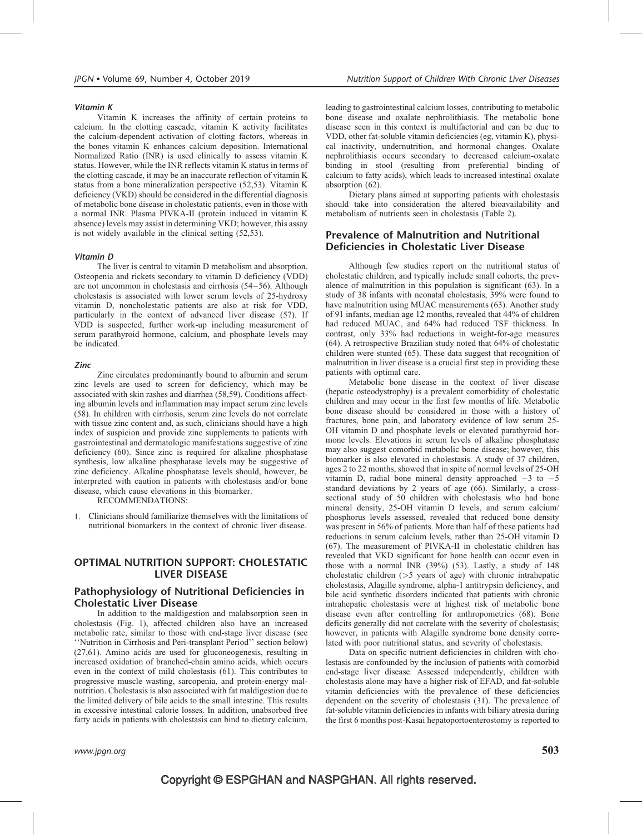### Vitamin K

Vitamin K increases the affinity of certain proteins to calcium. In the clotting cascade, vitamin K activity facilitates the calcium-dependent activation of clotting factors, whereas in the bones vitamin K enhances calcium deposition. International Normalized Ratio (INR) is used clinically to assess vitamin K status. However, while the INR reflects vitamin K status in terms of the clotting cascade, it may be an inaccurate reflection of vitamin K status from a bone mineralization perspective (52,53). Vitamin K deficiency (VKD) should be considered in the differential diagnosis of metabolic bone disease in cholestatic patients, even in those with a normal INR. Plasma PIVKA-II (protein induced in vitamin K absence) levels may assist in determining VKD; however, this assay is not widely available in the clinical setting (52,53).

#### Vitamin D

The liver is central to vitamin D metabolism and absorption. Osteopenia and rickets secondary to vitamin D deficiency (VDD) are not uncommon in cholestasis and cirrhosis (54–56). Although cholestasis is associated with lower serum levels of 25-hydroxy vitamin D, noncholestatic patients are also at risk for VDD, particularly in the context of advanced liver disease (57). If VDD is suspected, further work-up including measurement of serum parathyroid hormone, calcium, and phosphate levels may be indicated.

#### Zinc

Zinc circulates predominantly bound to albumin and serum zinc levels are used to screen for deficiency, which may be associated with skin rashes and diarrhea (58,59). Conditions affecting albumin levels and inflammation may impact serum zinc levels (58). In children with cirrhosis, serum zinc levels do not correlate with tissue zinc content and, as such, clinicians should have a high index of suspicion and provide zinc supplements to patients with gastrointestinal and dermatologic manifestations suggestive of zinc deficiency (60). Since zinc is required for alkaline phosphatase synthesis, low alkaline phosphatase levels may be suggestive of zinc deficiency. Alkaline phosphatase levels should, however, be interpreted with caution in patients with cholestasis and/or bone disease, which cause elevations in this biomarker.

RECOMMENDATIONS:

1. Clinicians should familiarize themselves with the limitations of nutritional biomarkers in the context of chronic liver disease.

### OPTIMAL NUTRITION SUPPORT: CHOLESTATIC LIVER DISEASE

### Pathophysiology of Nutritional Deficiencies in Cholestatic Liver Disease

In addition to the maldigestion and malabsorption seen in cholestasis (Fig. 1), affected children also have an increased metabolic rate, similar to those with end-stage liver disease (see ''Nutrition in Cirrhosis and Peri-transplant Period'' section below) (27,61). Amino acids are used for gluconeogenesis, resulting in increased oxidation of branched-chain amino acids, which occurs even in the context of mild cholestasis (61). This contributes to progressive muscle wasting, sarcopenia, and protein-energy malnutrition. Cholestasis is also associated with fat maldigestion due to the limited delivery of bile acids to the small intestine. This results in excessive intestinal calorie losses. In addition, unabsorbed free fatty acids in patients with cholestasis can bind to dietary calcium,

leading to gastrointestinal calcium losses, contributing to metabolic bone disease and oxalate nephrolithiasis. The metabolic bone disease seen in this context is multifactorial and can be due to VDD, other fat-soluble vitamin deficiencies (eg, vitamin K), physical inactivity, undernutrition, and hormonal changes. Oxalate nephrolithiasis occurs secondary to decreased calcium-oxalate binding in stool (resulting from preferential binding of calcium to fatty acids), which leads to increased intestinal oxalate absorption (62).

Dietary plans aimed at supporting patients with cholestasis should take into consideration the altered bioavailability and metabolism of nutrients seen in cholestasis (Table 2).

### Prevalence of Malnutrition and Nutritional Deficiencies in Cholestatic Liver Disease

Although few studies report on the nutritional status of cholestatic children, and typically include small cohorts, the prevalence of malnutrition in this population is significant (63). In a study of 38 infants with neonatal cholestasis, 39% were found to have malnutrition using MUAC measurements (63). Another study of 91 infants, median age 12 months, revealed that 44% of children had reduced MUAC, and 64% had reduced TSF thickness. In contrast, only 33% had reductions in weight-for-age measures (64). A retrospective Brazilian study noted that 64% of cholestatic children were stunted (65). These data suggest that recognition of malnutrition in liver disease is a crucial first step in providing these patients with optimal care.

Metabolic bone disease in the context of liver disease (hepatic osteodystrophy) is a prevalent comorbidity of cholestatic children and may occur in the first few months of life. Metabolic bone disease should be considered in those with a history of fractures, bone pain, and laboratory evidence of low serum 25- OH vitamin D and phosphate levels or elevated parathyroid hormone levels. Elevations in serum levels of alkaline phosphatase may also suggest comorbid metabolic bone disease; however, this biomarker is also elevated in cholestasis. A study of 37 children, ages 2 to 22 months, showed that in spite of normal levels of 25-OH vitamin D, radial bone mineral density approached  $-3$  to  $-5$ standard deviations by 2 years of age (66). Similarly, a crosssectional study of 50 children with cholestasis who had bone mineral density, 25-OH vitamin D levels, and serum calcium/ phosphorus levels assessed, revealed that reduced bone density was present in 56% of patients. More than half of these patients had reductions in serum calcium levels, rather than 25-OH vitamin D (67). The measurement of PIVKA-II in cholestatic children has revealed that VKD significant for bone health can occur even in those with a normal INR (39%) (53). Lastly, a study of 148 cholestatic children (>5 years of age) with chronic intrahepatic cholestasis, Alagille syndrome, alpha-1 antitrypsin deficiency, and bile acid synthetic disorders indicated that patients with chronic intrahepatic cholestasis were at highest risk of metabolic bone disease even after controlling for anthropometrics (68). Bone deficits generally did not correlate with the severity of cholestasis; however, in patients with Alagille syndrome bone density correlated with poor nutritional status, and severity of cholestasis.

Data on specific nutrient deficiencies in children with cholestasis are confounded by the inclusion of patients with comorbid end-stage liver disease. Assessed independently, children with cholestasis alone may have a higher risk of EFAD, and fat-soluble vitamin deficiencies with the prevalence of these deficiencies dependent on the severity of cholestasis (31). The prevalence of fat-soluble vitamin deficiencies in infants with biliary atresia during the first 6 months post-Kasai hepatoportoenterostomy is reported to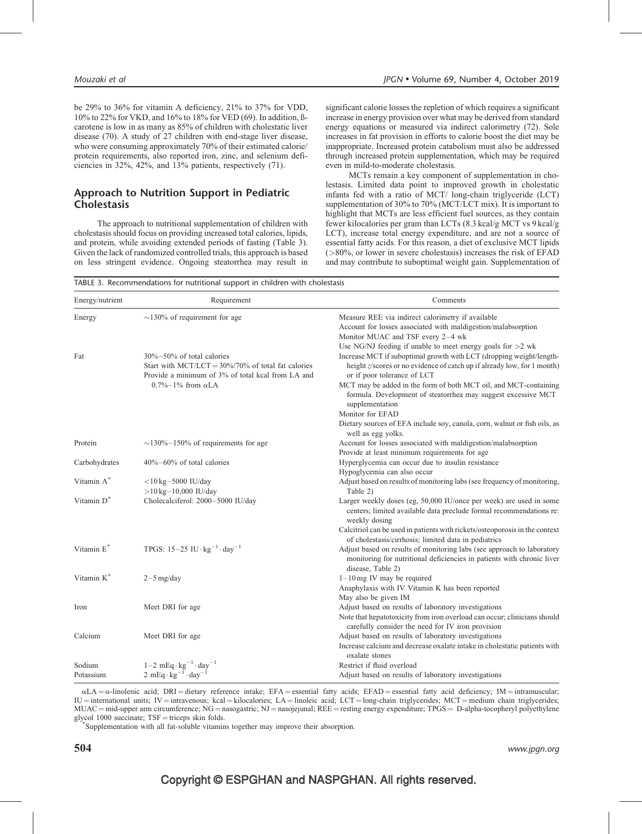be 29% to 36% for vitamin A deficiency, 21% to 37% for VDD, 10% to 22% for VKD, and 16% to 18% for VED (69). In addition, ßcarotene is low in as many as 85% of children with cholestatic liver disease (70). A study of 27 children with end-stage liver disease, who were consuming approximately 70% of their estimated calorie/ protein requirements, also reported iron, zinc, and selenium deficiencies in 32%, 42%, and 13% patients, respectively (71).

### Approach to Nutrition Support in Pediatric **Cholestasis**

The approach to nutritional supplementation of children with cholestasis should focus on providing increased total calories, lipids, and protein, while avoiding extended periods of fasting (Table 3). Given the lack of randomized controlled trials, this approach is based on less stringent evidence. Ongoing steatorrhea may result in significant calorie losses the repletion of which requires a significant increase in energy provision over what may be derived from standard energy equations or measured via indirect calorimetry (72). Sole increases in fat provision in efforts to calorie boost the diet may be inappropriate. Increased protein catabolism must also be addressed through increased protein supplementation, which may be required even in mild-to-moderate cholestasis.

MCTs remain a key component of supplementation in cholestasis. Limited data point to improved growth in cholestatic infants fed with a ratio of MCT/ long-chain triglyceride (LCT) supplementation of 30% to 70% (MCT/LCT mix). It is important to highlight that MCTs are less efficient fuel sources, as they contain fewer kilocalories per gram than LCTs (8.3 kcal/g MCT vs 9 kcal/g LCT), increase total energy expenditure, and are not a source of essential fatty acids. For this reason, a diet of exclusive MCT lipids (>80%, or lower in severe cholestasis) increases the risk of EFAD and may contribute to suboptimal weight gain. Supplementation of

| TABLE 3. Recommendations for nutritional support in children with cholestasis |  |  |  |
|-------------------------------------------------------------------------------|--|--|--|
|                                                                               |  |  |  |

| Energy/nutrient        | Requirement                                                                                                                                                                      | Comments                                                                                                                                                                                                                                                                                                          |
|------------------------|----------------------------------------------------------------------------------------------------------------------------------------------------------------------------------|-------------------------------------------------------------------------------------------------------------------------------------------------------------------------------------------------------------------------------------------------------------------------------------------------------------------|
| Energy                 | $\sim$ 130% of requirement for age                                                                                                                                               | Measure REE via indirect calorimetry if available<br>Account for losses associated with maldigestion/malabsorption<br>Monitor MUAC and TSF every 2-4 wk                                                                                                                                                           |
| Fat                    | $30\% - 50\%$ of total calories<br>Start with MCT/LCT = $30\%/70\%$ of total fat calories<br>Provide a minimum of 3% of total kcal from LA and<br>$0.7\% - 1\%$ from $\alpha$ LA | Use NG/NJ feeding if unable to meet energy goals for $>2$ wk<br>Increase MCT if suboptimal growth with LCT (dropping weight/length-<br>height z/scores or no evidence of catch up if already low, for 1 month)<br>or if poor tolerance of LCT<br>MCT may be added in the form of both MCT oil, and MCT-containing |
|                        |                                                                                                                                                                                  | formula. Development of steatorrhea may suggest excessive MCT<br>supplementation<br>Monitor for EFAD                                                                                                                                                                                                              |
|                        |                                                                                                                                                                                  | Dietary sources of EFA include soy, canola, corn, walnut or fish oils, as<br>well as egg yolks.                                                                                                                                                                                                                   |
| Protein                | $\sim$ 130%–150% of requirements for age                                                                                                                                         | Account for losses associated with maldigestion/malabsorption                                                                                                                                                                                                                                                     |
|                        |                                                                                                                                                                                  | Provide at least minimum requirements for age                                                                                                                                                                                                                                                                     |
| Carbohydrates          | $40\% - 60\%$ of total calories                                                                                                                                                  | Hyperglycemia can occur due to insulin resistance                                                                                                                                                                                                                                                                 |
|                        |                                                                                                                                                                                  | Hypoglycemia can also occur                                                                                                                                                                                                                                                                                       |
| Vitamin A*             | $<$ 10 kg $-$ 5000 IU/day<br>$>10$ kg $-10,000$ IU/day                                                                                                                           | Adjust based on results of monitoring labs (see frequency of monitoring,<br>Table 2)                                                                                                                                                                                                                              |
| Vitamin D <sup>*</sup> | Cholecalciferol: 2000-5000 IU/day                                                                                                                                                | Larger weekly doses (eg, 50,000 IU/once per week) are used in some<br>centers; limited available data preclude formal recommendations re:<br>weekly dosing                                                                                                                                                        |
|                        |                                                                                                                                                                                  | Calcitriol can be used in patients with rickets/osteoporosis in the context<br>of cholestasis/cirrhosis; limited data in pediatrics                                                                                                                                                                               |
| Vitamin E*             | TPGS: $15-25$ IU · $\text{kg}^{-1}$ · day <sup>-1</sup>                                                                                                                          | Adjust based on results of monitoring labs (see approach to laboratory<br>monitoring for nutritional deficiencies in patients with chronic liver<br>disease, Table 2)                                                                                                                                             |
| Vitamin $K^*$          | $2-5$ mg/day                                                                                                                                                                     | $1-10$ mg IV may be required                                                                                                                                                                                                                                                                                      |
|                        |                                                                                                                                                                                  | Anaphylaxis with IV Vitamin K has been reported                                                                                                                                                                                                                                                                   |
|                        |                                                                                                                                                                                  | May also be given IM                                                                                                                                                                                                                                                                                              |
| Iron                   | Meet DRI for age                                                                                                                                                                 | Adjust based on results of laboratory investigations                                                                                                                                                                                                                                                              |
|                        |                                                                                                                                                                                  | Note that hepatotoxicity from iron overload can occur; clinicians should<br>carefully consider the need for IV iron provision                                                                                                                                                                                     |
| Calcium                | Meet DRI for age                                                                                                                                                                 | Adjust based on results of laboratory investigations<br>Increase calcium and decrease oxalate intake in cholestatic patients with<br>oxalate stones                                                                                                                                                               |
| Sodium                 |                                                                                                                                                                                  | Restrict if fluid overload                                                                                                                                                                                                                                                                                        |
| Potassium              | 1-2 mEq·kg <sup>-1</sup> ·day <sup>-1</sup><br>2 mEq·kg <sup>-1</sup> ·day <sup>-1</sup>                                                                                         | Adjust based on results of laboratory investigations                                                                                                                                                                                                                                                              |
|                        |                                                                                                                                                                                  |                                                                                                                                                                                                                                                                                                                   |

 $\alpha LA = \alpha$ -linolenic acid; DRI = dietary reference intake; EFA = essential fatty acids; EFAD = essential fatty acid deficiency; IM = intramuscular;  $IU =$  international units;  $IV =$  intravenous; kcal = kilocalories; LA = linoleic acid; LCT = long-chain triglycerides; MCT = medium chain triglycerides; MUAC = mid-upper arm circumference; NG = nasogastric; NJ = nasojejunal; REE = resting energy expenditure; TPGS = D-alpha-tocopheryl polyethylene glycol 1000 succinate;  $TSF =$ triceps skin folds.

Supplementation with all fat-soluble vitamins together may improve their absorption.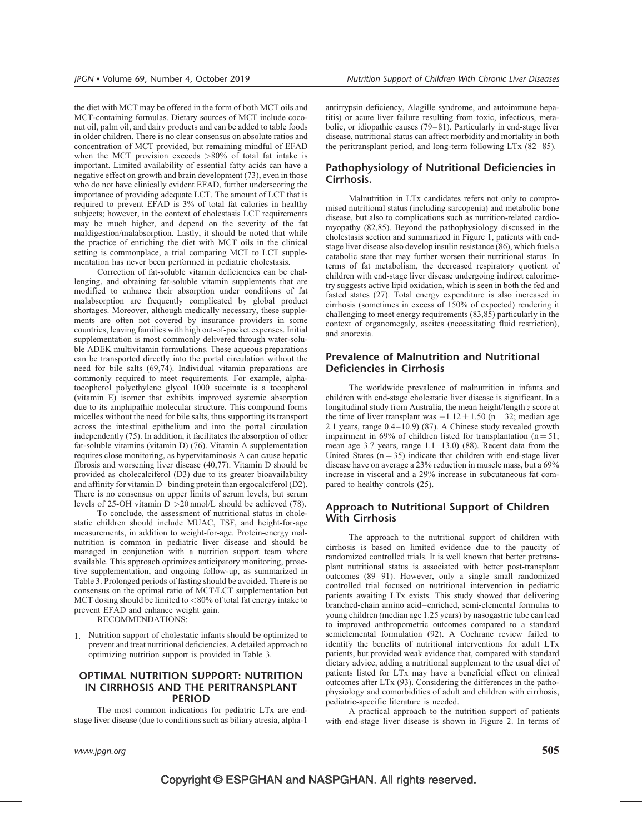the diet with MCT may be offered in the form of both MCT oils and MCT-containing formulas. Dietary sources of MCT include coconut oil, palm oil, and dairy products and can be added to table foods in older children. There is no clear consensus on absolute ratios and concentration of MCT provided, but remaining mindful of EFAD when the MCT provision exceeds  $>80\%$  of total fat intake is important. Limited availability of essential fatty acids can have a negative effect on growth and brain development (73), even in those who do not have clinically evident EFAD, further underscoring the importance of providing adequate LCT. The amount of LCT that is required to prevent EFAD is 3% of total fat calories in healthy subjects; however, in the context of cholestasis LCT requirements may be much higher, and depend on the severity of the fat maldigestion/malabsorption. Lastly, it should be noted that while the practice of enriching the diet with MCT oils in the clinical setting is commonplace, a trial comparing MCT to LCT supplementation has never been performed in pediatric cholestasis.

Correction of fat-soluble vitamin deficiencies can be challenging, and obtaining fat-soluble vitamin supplements that are modified to enhance their absorption under conditions of fat malabsorption are frequently complicated by global product shortages. Moreover, although medically necessary, these supplements are often not covered by insurance providers in some countries, leaving families with high out-of-pocket expenses. Initial supplementation is most commonly delivered through water-soluble ADEK multivitamin formulations. These aqueous preparations can be transported directly into the portal circulation without the need for bile salts (69,74). Individual vitamin preparations are commonly required to meet requirements. For example, alphatocopherol polyethylene glycol 1000 succinate is a tocopherol (vitamin E) isomer that exhibits improved systemic absorption due to its amphipathic molecular structure. This compound forms micelles without the need for bile salts, thus supporting its transport across the intestinal epithelium and into the portal circulation independently (75). In addition, it facilitates the absorption of other fat-soluble vitamins (vitamin D) (76). Vitamin A supplementation requires close monitoring, as hypervitaminosis A can cause hepatic fibrosis and worsening liver disease (40,77). Vitamin D should be provided as cholecalciferol (D3) due to its greater bioavailability and affinity for vitamin D–binding protein than ergocalciferol (D2). There is no consensus on upper limits of serum levels, but serum levels of 25-OH vitamin D >20 nmol/L should be achieved (78).

To conclude, the assessment of nutritional status in cholestatic children should include MUAC, TSF, and height-for-age measurements, in addition to weight-for-age. Protein-energy malnutrition is common in pediatric liver disease and should be managed in conjunction with a nutrition support team where available. This approach optimizes anticipatory monitoring, proactive supplementation, and ongoing follow-up, as summarized in Table 3. Prolonged periods of fasting should be avoided. There is no consensus on the optimal ratio of MCT/LCT supplementation but MCT dosing should be limited to  $< 80\%$  of total fat energy intake to prevent EFAD and enhance weight gain.

RECOMMENDATIONS:

1. Nutrition support of cholestatic infants should be optimized to prevent and treat nutritional deficiencies. A detailed approach to optimizing nutrition support is provided in Table 3.

### OPTIMAL NUTRITION SUPPORT: NUTRITION IN CIRRHOSIS AND THE PERITRANSPLANT PERIOD

The most common indications for pediatric LTx are endstage liver disease (due to conditions such as biliary atresia, alpha-1 antitrypsin deficiency, Alagille syndrome, and autoimmune hepatitis) or acute liver failure resulting from toxic, infectious, metabolic, or idiopathic causes (79–81). Particularly in end-stage liver disease, nutritional status can affect morbidity and mortality in both the peritransplant period, and long-term following LTx (82–85).

### Pathophysiology of Nutritional Deficiencies in Cirrhosis.

Malnutrition in LTx candidates refers not only to compromised nutritional status (including sarcopenia) and metabolic bone disease, but also to complications such as nutrition-related cardiomyopathy (82,85). Beyond the pathophysiology discussed in the cholestasis section and summarized in Figure 1, patients with endstage liver disease also develop insulin resistance (86), which fuels a catabolic state that may further worsen their nutritional status. In terms of fat metabolism, the decreased respiratory quotient of children with end-stage liver disease undergoing indirect calorimetry suggests active lipid oxidation, which is seen in both the fed and fasted states (27). Total energy expenditure is also increased in cirrhosis (sometimes in excess of 150% of expected) rendering it challenging to meet energy requirements (83,85) particularly in the context of organomegaly, ascites (necessitating fluid restriction), and anorexia.

### Prevalence of Malnutrition and Nutritional Deficiencies in Cirrhosis

The worldwide prevalence of malnutrition in infants and children with end-stage cholestatic liver disease is significant. In a longitudinal study from Australia, the mean height/length z score at the time of liver transplant was  $-1.12 \pm 1.50$  (n = 32; median age 2.1 years, range 0.4–10.9) (87). A Chinese study revealed growth impairment in 69% of children listed for transplantation  $(n = 51)$ ; mean age 3.7 years, range 1.1–13.0) (88). Recent data from the United States  $(n = 35)$  indicate that children with end-stage liver disease have on average a 23% reduction in muscle mass, but a 69% increase in visceral and a 29% increase in subcutaneous fat compared to healthy controls (25).

### Approach to Nutritional Support of Children With Cirrhosis

The approach to the nutritional support of children with cirrhosis is based on limited evidence due to the paucity of randomized controlled trials. It is well known that better pretransplant nutritional status is associated with better post-transplant outcomes (89–91). However, only a single small randomized controlled trial focused on nutritional intervention in pediatric patients awaiting LTx exists. This study showed that delivering branched-chain amino acid–enriched, semi-elemental formulas to young children (median age 1.25 years) by nasogastric tube can lead to improved anthropometric outcomes compared to a standard semielemental formulation (92). A Cochrane review failed to identify the benefits of nutritional interventions for adult LTx patients, but provided weak evidence that, compared with standard dietary advice, adding a nutritional supplement to the usual diet of patients listed for LTx may have a beneficial effect on clinical outcomes after LTx (93). Considering the differences in the pathophysiology and comorbidities of adult and children with cirrhosis, pediatric-specific literature is needed.

A practical approach to the nutrition support of patients with end-stage liver disease is shown in Figure 2. In terms of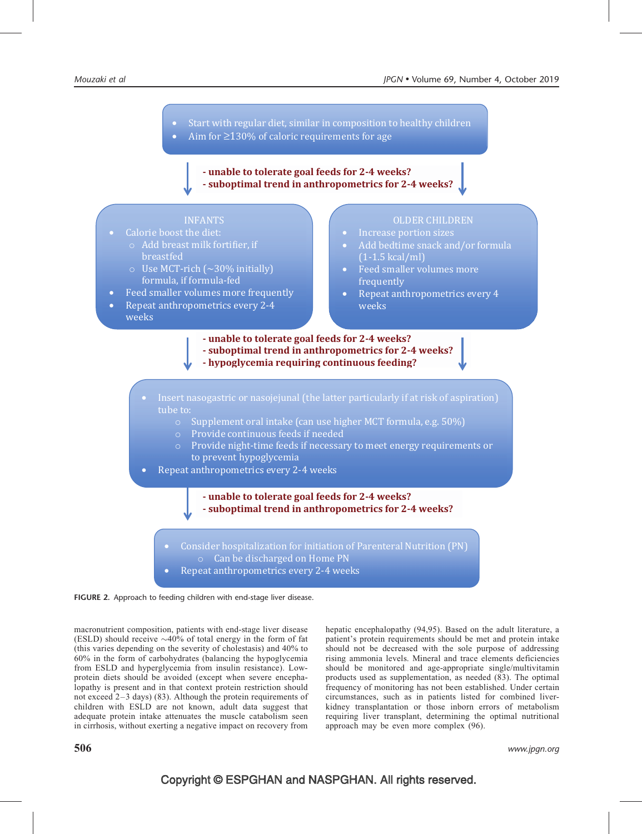

FIGURE 2. Approach to feeding children with end-stage liver disease.

macronutrient composition, patients with end-stage liver disease (ESLD) should receive  $\sim$ 40% of total energy in the form of fat (this varies depending on the severity of cholestasis) and 40% to 60% in the form of carbohydrates (balancing the hypoglycemia from ESLD and hyperglycemia from insulin resistance). Lowprotein diets should be avoided (except when severe encephalopathy is present and in that context protein restriction should not exceed 2–3 days) (83). Although the protein requirements of children with ESLD are not known, adult data suggest that adequate protein intake attenuates the muscle catabolism seen in cirrhosis, without exerting a negative impact on recovery from

hepatic encephalopathy (94,95). Based on the adult literature, a patient's protein requirements should be met and protein intake should not be decreased with the sole purpose of addressing rising ammonia levels. Mineral and trace elements deficiencies should be monitored and age-appropriate single/multivitamin products used as supplementation, as needed (83). The optimal frequency of monitoring has not been established. Under certain circumstances, such as in patients listed for combined liverkidney transplantation or those inborn errors of metabolism requiring liver transplant, determining the optimal nutritional approach may be even more complex (96).

 $\bf 506$  www.jpgn.org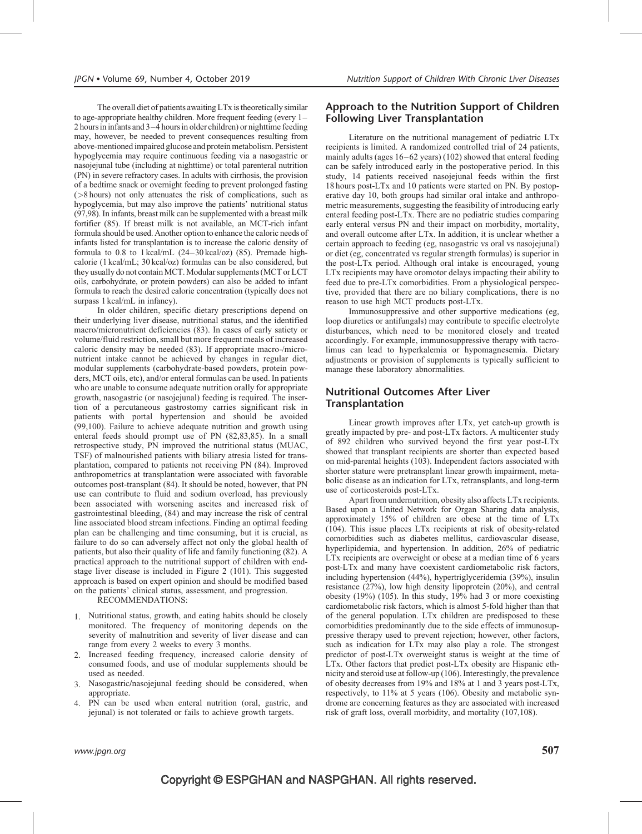The overall diet of patients awaiting LTx is theoretically similar to age-appropriate healthy children. More frequent feeding (every 1– 2 hours in infants and 3–4 hours in older children) or nighttime feeding may, however, be needed to prevent consequences resulting from above-mentioned impaired glucose and protein metabolism. Persistent hypoglycemia may require continuous feeding via a nasogastric or nasojejunal tube (including at nighttime) or total parenteral nutrition (PN) in severe refractory cases. In adults with cirrhosis, the provision of a bedtime snack or overnight feeding to prevent prolonged fasting (>8 hours) not only attenuates the risk of complications, such as hypoglycemia, but may also improve the patients' nutritional status (97,98). In infants, breast milk can be supplemented with a breast milk fortifier (85). If breast milk is not available, an MCT-rich infant formula should be used. Another option to enhance the caloric needs of infants listed for transplantation is to increase the caloric density of formula to 0.8 to 1 kcal/mL (24–30 kcal/oz) (85). Premade highcalorie (1 kcal/mL; 30 kcal/oz) formulas can be also considered, but they usually do not contain MCT. Modular supplements (MCT or LCT oils, carbohydrate, or protein powders) can also be added to infant formula to reach the desired calorie concentration (typically does not surpass 1 kcal/mL in infancy).

In older children, specific dietary prescriptions depend on their underlying liver disease, nutritional status, and the identified macro/micronutrient deficiencies (83). In cases of early satiety or volume/fluid restriction, small but more frequent meals of increased caloric density may be needed (83). If appropriate macro-/micronutrient intake cannot be achieved by changes in regular diet, modular supplements (carbohydrate-based powders, protein powders, MCT oils, etc), and/or enteral formulas can be used. In patients who are unable to consume adequate nutrition orally for appropriate growth, nasogastric (or nasojejunal) feeding is required. The insertion of a percutaneous gastrostomy carries significant risk in patients with portal hypertension and should be avoided (99,100). Failure to achieve adequate nutrition and growth using enteral feeds should prompt use of PN (82,83,85). In a small retrospective study, PN improved the nutritional status (MUAC, TSF) of malnourished patients with biliary atresia listed for transplantation, compared to patients not receiving PN (84). Improved anthropometrics at transplantation were associated with favorable outcomes post-transplant (84). It should be noted, however, that PN use can contribute to fluid and sodium overload, has previously been associated with worsening ascites and increased risk of gastrointestinal bleeding, (84) and may increase the risk of central line associated blood stream infections. Finding an optimal feeding plan can be challenging and time consuming, but it is crucial, as failure to do so can adversely affect not only the global health of patients, but also their quality of life and family functioning (82). A practical approach to the nutritional support of children with endstage liver disease is included in Figure 2 (101). This suggested approach is based on expert opinion and should be modified based on the patients' clinical status, assessment, and progression.

RECOMMENDATIONS:

- 1. Nutritional status, growth, and eating habits should be closely monitored. The frequency of monitoring depends on the severity of malnutrition and severity of liver disease and can range from every 2 weeks to every 3 months.
- 2. Increased feeding frequency, increased calorie density of consumed foods, and use of modular supplements should be used as needed.
- 3. Nasogastric/nasojejunal feeding should be considered, when appropriate.
- 4. PN can be used when enteral nutrition (oral, gastric, and jejunal) is not tolerated or fails to achieve growth targets.

### Approach to the Nutrition Support of Children Following Liver Transplantation

Literature on the nutritional management of pediatric LTx recipients is limited. A randomized controlled trial of 24 patients, mainly adults (ages 16–62 years) (102) showed that enteral feeding can be safely introduced early in the postoperative period. In this study, 14 patients received nasojejunal feeds within the first 18 hours post-LTx and 10 patients were started on PN. By postoperative day 10, both groups had similar oral intake and anthropometric measurements, suggesting the feasibility of introducing early enteral feeding post-LTx. There are no pediatric studies comparing early enteral versus PN and their impact on morbidity, mortality, and overall outcome after LTx. In addition, it is unclear whether a certain approach to feeding (eg, nasogastric vs oral vs nasojejunal) or diet (eg, concentrated vs regular strength formulas) is superior in the post-LTx period. Although oral intake is encouraged, young LTx recipients may have oromotor delays impacting their ability to feed due to pre-LTx comorbidities. From a physiological perspective, provided that there are no biliary complications, there is no reason to use high MCT products post-LTx.

Immunosuppressive and other supportive medications (eg, loop diuretics or antifungals) may contribute to specific electrolyte disturbances, which need to be monitored closely and treated accordingly. For example, immunosuppressive therapy with tacrolimus can lead to hyperkalemia or hypomagnesemia. Dietary adjustments or provision of supplements is typically sufficient to manage these laboratory abnormalities.

### Nutritional Outcomes After Liver Transplantation

Linear growth improves after LTx, yet catch-up growth is greatly impacted by pre- and post-LTx factors. A multicenter study of 892 children who survived beyond the first year post-LTx showed that transplant recipients are shorter than expected based on mid-parental heights (103). Independent factors associated with shorter stature were pretransplant linear growth impairment, metabolic disease as an indication for LTx, retransplants, and long-term use of corticosteroids post-LTx.

Apart from undernutrition, obesity also affects LTx recipients. Based upon a United Network for Organ Sharing data analysis, approximately 15% of children are obese at the time of LTx (104). This issue places LTx recipients at risk of obesity-related comorbidities such as diabetes mellitus, cardiovascular disease, hyperlipidemia, and hypertension. In addition, 26% of pediatric LTx recipients are overweight or obese at a median time of 6 years post-LTx and many have coexistent cardiometabolic risk factors, including hypertension (44%), hypertriglyceridemia (39%), insulin resistance (27%), low high density lipoprotein (20%), and central obesity (19%) (105). In this study, 19% had 3 or more coexisting cardiometabolic risk factors, which is almost 5-fold higher than that of the general population. LTx children are predisposed to these comorbidities predominantly due to the side effects of immunosuppressive therapy used to prevent rejection; however, other factors, such as indication for LTx may also play a role. The strongest predictor of post-LTx overweight status is weight at the time of LTx. Other factors that predict post-LTx obesity are Hispanic ethnicity and steroid use at follow-up (106). Interestingly, the prevalence of obesity decreases from 19% and 18% at 1 and 3 years post-LTx, respectively, to 11% at 5 years (106). Obesity and metabolic syndrome are concerning features as they are associated with increased risk of graft loss, overall morbidity, and mortality (107,108).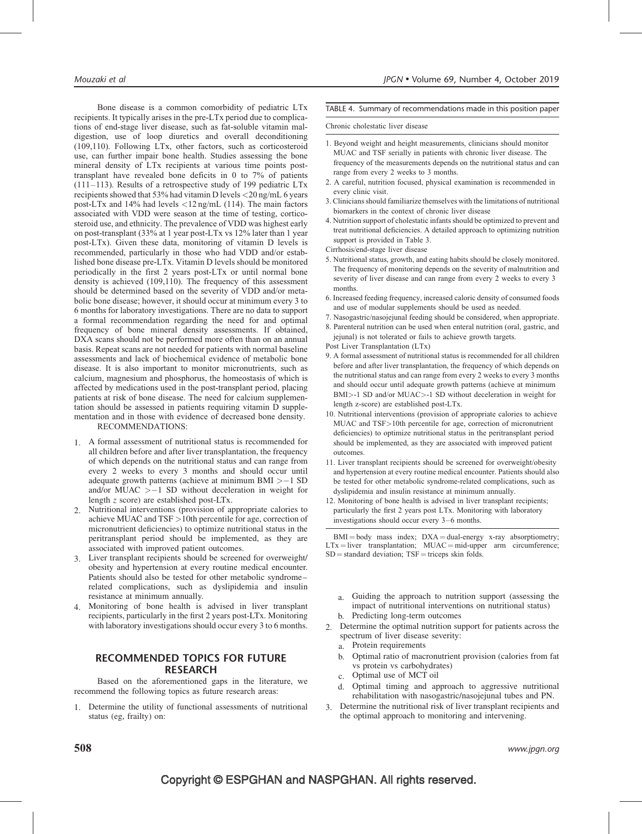Bone disease is a common comorbidity of pediatric LTx recipients. It typically arises in the pre-LTx period due to complications of end-stage liver disease, such as fat-soluble vitamin maldigestion, use of loop diuretics and overall deconditioning (109,110). Following LTx, other factors, such as corticosteroid use, can further impair bone health. Studies assessing the bone mineral density of LTx recipients at various time points posttransplant have revealed bone deficits in 0 to 7% of patients (111–113). Results of a retrospective study of 199 pediatric LTx recipients showed that 53% had vitamin D levels <20 ng/mL 6 years post-LTx and 14% had levels <12 ng/mL (114). The main factors associated with VDD were season at the time of testing, corticosteroid use, and ethnicity. The prevalence of VDD was highest early on post-transplant (33% at 1 year post-LTx vs 12% later than 1 year post-LTx). Given these data, monitoring of vitamin D levels is recommended, particularly in those who had VDD and/or established bone disease pre-LTx. Vitamin D levels should be monitored periodically in the first 2 years post-LTx or until normal bone density is achieved (109,110). The frequency of this assessment should be determined based on the severity of VDD and/or metabolic bone disease; however, it should occur at minimum every 3 to 6 months for laboratory investigations. There are no data to support a formal recommendation regarding the need for and optimal frequency of bone mineral density assessments. If obtained, DXA scans should not be performed more often than on an annual basis. Repeat scans are not needed for patients with normal baseline assessments and lack of biochemical evidence of metabolic bone disease. It is also important to monitor micronutrients, such as calcium, magnesium and phosphorus, the homeostasis of which is affected by medications used in the post-transplant period, placing patients at risk of bone disease. The need for calcium supplementation should be assessed in patients requiring vitamin D supplementation and in those with evidence of decreased bone density. RECOMMENDATIONS:

- 
- 1. A formal assessment of nutritional status is recommended for all children before and after liver transplantation, the frequency of which depends on the nutritional status and can range from every 2 weeks to every 3 months and should occur until adequate growth patterns (achieve at minimum BMI  $> -1$  SD and/or MUAC  $> -1$  SD without deceleration in weight for length z score) are established post-LTx.
- 2. Nutritional interventions (provision of appropriate calories to achieve MUAC and TSF >10th percentile for age, correction of micronutrient deficiencies) to optimize nutritional status in the peritransplant period should be implemented, as they are associated with improved patient outcomes.
- 3. Liver transplant recipients should be screened for overweight/ obesity and hypertension at every routine medical encounter. Patients should also be tested for other metabolic syndrome– related complications, such as dyslipidemia and insulin resistance at minimum annually.
- 4. Monitoring of bone health is advised in liver transplant recipients, particularly in the first 2 years post-LTx. Monitoring with laboratory investigations should occur every 3 to 6 months.

### RECOMMENDED TOPICS FOR FUTURE RESEARCH

Based on the aforementioned gaps in the literature, we recommend the following topics as future research areas:

1. Determine the utility of functional assessments of nutritional status (eg, frailty) on:

### TABLE 4. Summary of recommendations made in this position paper

#### Chronic cholestatic liver disease

- 1. Beyond weight and height measurements, clinicians should monitor MUAC and TSF serially in patients with chronic liver disease. The frequency of the measurements depends on the nutritional status and can range from every 2 weeks to 3 months.
- 2. A careful, nutrition focused, physical examination is recommended in every clinic visit.
- 3. Clinicians should familiarize themselves with the limitations of nutritional biomarkers in the context of chronic liver disease
- 4. Nutrition support of cholestatic infants should be optimized to prevent and treat nutritional deficiencies. A detailed approach to optimizing nutrition support is provided in Table 3.
- Cirrhosis/end-stage liver disease
- 5. Nutritional status, growth, and eating habits should be closely monitored. The frequency of monitoring depends on the severity of malnutrition and severity of liver disease and can range from every 2 weeks to every 3 months.
- 6. Increased feeding frequency, increased caloric density of consumed foods and use of modular supplements should be used as needed.
- 7. Nasogastric/nasojejunal feeding should be considered, when appropriate.
- 8. Parenteral nutrition can be used when enteral nutrition (oral, gastric, and jejunal) is not tolerated or fails to achieve growth targets.
- Post Liver Transplantation (LTx)
- 9. A formal assessment of nutritional status is recommended for all children before and after liver transplantation, the frequency of which depends on the nutritional status and can range from every 2 weeks to every 3 months and should occur until adequate growth patterns (achieve at minimum BMI>-1 SD and/or MUAC>-1 SD without deceleration in weight for length z-score) are established post-LTx.
- 10. Nutritional interventions (provision of appropriate calories to achieve MUAC and TSF>10th percentile for age, correction of micronutrient deficiencies) to optimize nutritional status in the peritransplant period should be implemented, as they are associated with improved patient outcomes.
- 11. Liver transplant recipients should be screened for overweight/obesity and hypertension at every routine medical encounter. Patients should also be tested for other metabolic syndrome-related complications, such as dyslipidemia and insulin resistance at minimum annually.
- 12. Monitoring of bone health is advised in liver transplant recipients; particularly the first 2 years post LTx. Monitoring with laboratory investigations should occur every 3–6 months.

 $BMI = body$  mass index;  $DXA = dual-energy$  x-ray absorptiometry;  $LTx = liver$  transplantation;  $MUAC = mid-upper$  arm circumference;  $SD = standard deviation$ ;  $TSF = triceps$  skin folds.

- a. Guiding the approach to nutrition support (assessing the impact of nutritional interventions on nutritional status) b. Predicting long-term outcomes
- 2. Determine the optimal nutrition support for patients across the spectrum of liver disease severity:
	- a. Protein requirements
	- b. Optimal ratio of macronutrient provision (calories from fat vs protein vs carbohydrates)
	- c. Optimal use of MCT oil
	- d. Optimal timing and approach to aggressive nutritional rehabilitation with nasogastric/nasojejunal tubes and PN.
- 3. Determine the nutritional risk of liver transplant recipients and the optimal approach to monitoring and intervening.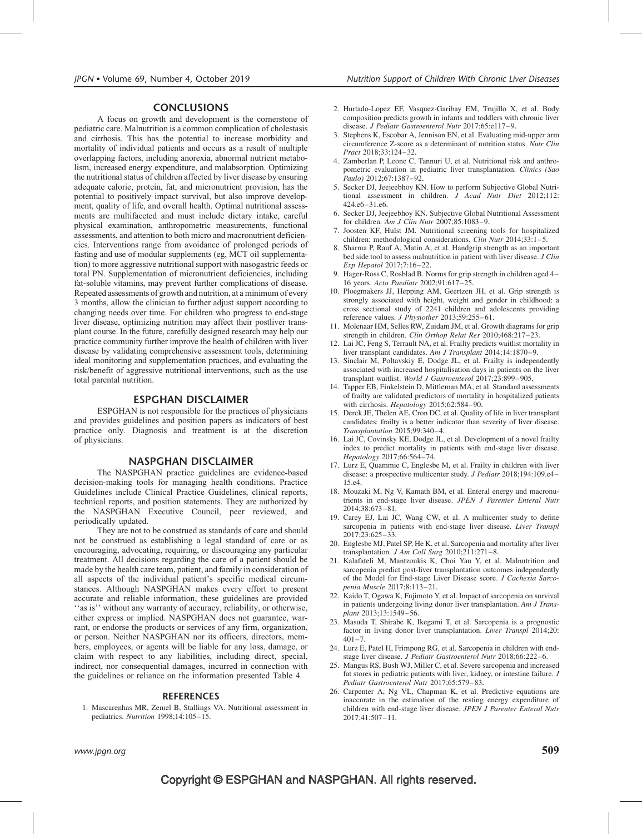### CONCLUSIONS

A focus on growth and development is the cornerstone of pediatric care. Malnutrition is a common complication of cholestasis and cirrhosis. This has the potential to increase morbidity and mortality of individual patients and occurs as a result of multiple overlapping factors, including anorexia, abnormal nutrient metabolism, increased energy expenditure, and malabsorption. Optimizing the nutritional status of children affected by liver disease by ensuring adequate calorie, protein, fat, and micronutrient provision, has the potential to positively impact survival, but also improve development, quality of life, and overall health. Optimal nutritional assessments are multifaceted and must include dietary intake, careful physical examination, anthropometric measurements, functional assessments, and attention to both micro and macronutrient deficiencies. Interventions range from avoidance of prolonged periods of fasting and use of modular supplements (eg, MCT oil supplementation) to more aggressive nutritional support with nasogastric feeds or total PN. Supplementation of micronutrient deficiencies, including fat-soluble vitamins, may prevent further complications of disease. Repeated assessments of growth and nutrition, at a minimum of every 3 months, allow the clinician to further adjust support according to changing needs over time. For children who progress to end-stage liver disease, optimizing nutrition may affect their postliver transplant course. In the future, carefully designed research may help our practice community further improve the health of children with liver disease by validating comprehensive assessment tools, determining ideal monitoring and supplementation practices, and evaluating the risk/benefit of aggressive nutritional interventions, such as the use total parental nutrition.

### ESPGHAN DISCLAIMER

ESPGHAN is not responsible for the practices of physicians and provides guidelines and position papers as indicators of best practice only. Diagnosis and treatment is at the discretion of physicians.

### NASPGHAN DISCLAIMER

The NASPGHAN practice guidelines are evidence-based decision-making tools for managing health conditions. Practice Guidelines include Clinical Practice Guidelines, clinical reports, technical reports, and position statements. They are authorized by the NASPGHAN Executive Council, peer reviewed, and periodically updated.

They are not to be construed as standards of care and should not be construed as establishing a legal standard of care or as encouraging, advocating, requiring, or discouraging any particular treatment. All decisions regarding the care of a patient should be made by the health care team, patient, and family in consideration of all aspects of the individual patient's specific medical circumstances. Although NASPGHAN makes every effort to present accurate and reliable information, these guidelines are provided ''as is'' without any warranty of accuracy, reliability, or otherwise, either express or implied. NASPGHAN does not guarantee, warrant, or endorse the products or services of any firm, organization, or person. Neither NASPGHAN nor its officers, directors, members, employees, or agents will be liable for any loss, damage, or claim with respect to any liabilities, including direct, special, indirect, nor consequential damages, incurred in connection with the guidelines or reliance on the information presented Table 4.

### REFERENCES

1. Mascarenhas MR, Zemel B, Stallings VA. Nutritional assessment in pediatrics. Nutrition 1998;14:105–15.

- 2. Hurtado-Lopez EF, Vasquez-Garibay EM, Trujillo X, et al. Body composition predicts growth in infants and toddlers with chronic liver disease. J Pediatr Gastroenterol Nutr 2017;65:e117–9.
- 3. Stephens K, Escobar A, Jennison EN, et al. Evaluating mid-upper arm circumference Z-score as a determinant of nutrition status. Nutr Clin Pract 2018;33:124–32.
- 4. Zamberlan P, Leone C, Tannuri U, et al. Nutritional risk and anthropometric evaluation in pediatric liver transplantation. Clinics (Sao Paulo) 2012;67:1387–92.
- 5. Secker DJ, Jeejeebhoy KN. How to perform Subjective Global Nutritional assessment in children. J Acad Nutr Diet 2012;112: 424.e6–31.e6.
- 6. Secker DJ, Jeejeebhoy KN. Subjective Global Nutritional Assessment for children. Am J Clin Nutr 2007;85:1083–9.
- 7. Joosten KF, Hulst JM. Nutritional screening tools for hospitalized children: methodological considerations. Clin Nutr 2014;33:1-5.
- 8. Sharma P, Rauf A, Matin A, et al. Handgrip strength as an important bed side tool to assess malnutrition in patient with liver disease. J Clin Exp Hepatol 2017;7:16–22.
- 9. Hager-Ross C, Rosblad B. Norms for grip strength in children aged 4– 16 years. Acta Paediatr 2002;91:617–25.
- 10. Ploegmakers JJ, Hepping AM, Geertzen JH, et al. Grip strength is strongly associated with height, weight and gender in childhood: a cross sectional study of 2241 children and adolescents providing reference values. J Physiother 2013;59:255-61.
- 11. Molenaar HM, Selles RW, Zuidam JM, et al. Growth diagrams for grip strength in children. Clin Orthop Relat Res 2010;468:217–23.
- 12. Lai JC, Feng S, Terrault NA, et al. Frailty predicts waitlist mortality in liver transplant candidates. Am J Transplant 2014;14:1870–9.
- 13. Sinclair M, Poltavskiy E, Dodge JL, et al. Frailty is independently associated with increased hospitalisation days in patients on the liver transplant waitlist. World J Gastroenterol 2017;23:899–905.
- 14. Tapper EB, Finkelstein D, Mittleman MA, et al. Standard assessments of frailty are validated predictors of mortality in hospitalized patients with cirrhosis. Hepatology 2015;62:584–90.
- 15. Derck JE, Thelen AE, Cron DC, et al. Quality of life in liver transplant candidates: frailty is a better indicator than severity of liver disease. Transplantation 2015;99:340–4.
- 16. Lai JC, Covinsky KE, Dodge JL, et al. Development of a novel frailty index to predict mortality in patients with end-stage liver disease. Hepatology 2017;66:564–74.
- 17. Lurz E, Quammie C, Englesbe M, et al. Frailty in children with liver disease: a prospective multicenter study. J Pediatr 2018;194:109.e4– 15.e4.
- 18. Mouzaki M, Ng V, Kamath BM, et al. Enteral energy and macronutrients in end-stage liver disease. JPEN J Parenter Enteral Nutr 2014;38:673–81.
- 19. Carey EJ, Lai JC, Wang CW, et al. A multicenter study to define sarcopenia in patients with end-stage liver disease. Liver Transpl 2017;23:625–33.
- 20. Englesbe MJ, Patel SP, He K, et al. Sarcopenia and mortality after liver transplantation.  $J Am$  Coll Surg 2010;211:271-8.
- 21. Kalafateli M, Mantzoukis K, Choi Yau Y, et al. Malnutrition and sarcopenia predict post-liver transplantation outcomes independently of the Model for End-stage Liver Disease score. J Cachexia Sarcopenia Muscle 2017;8:113–21.
- 22. Kaido T, Ogawa K, Fujimoto Y, et al. Impact of sarcopenia on survival in patients undergoing living donor liver transplantation. Am J Transplant 2013;13:1549–56.
- 23. Masuda T, Shirabe K, Ikegami T, et al. Sarcopenia is a prognostic factor in living donor liver transplantation. Liver Transpl 2014;20:  $401 - 7$
- 24. Lurz E, Patel H, Frimpong RG, et al. Sarcopenia in children with endstage liver disease. J Pediatr Gastroenterol Nutr 2018;66:222–6.
- 25. Mangus RS, Bush WJ, Miller C, et al. Severe sarcopenia and increased fat stores in pediatric patients with liver, kidney, or intestine failure. J Pediatr Gastroenterol Nutr 2017;65:579–83.
- 26. Carpenter A, Ng VL, Chapman K, et al. Predictive equations are inaccurate in the estimation of the resting energy expenditure of children with end-stage liver disease. JPEN J Parenter Enteral Nutr 2017;41:507–11.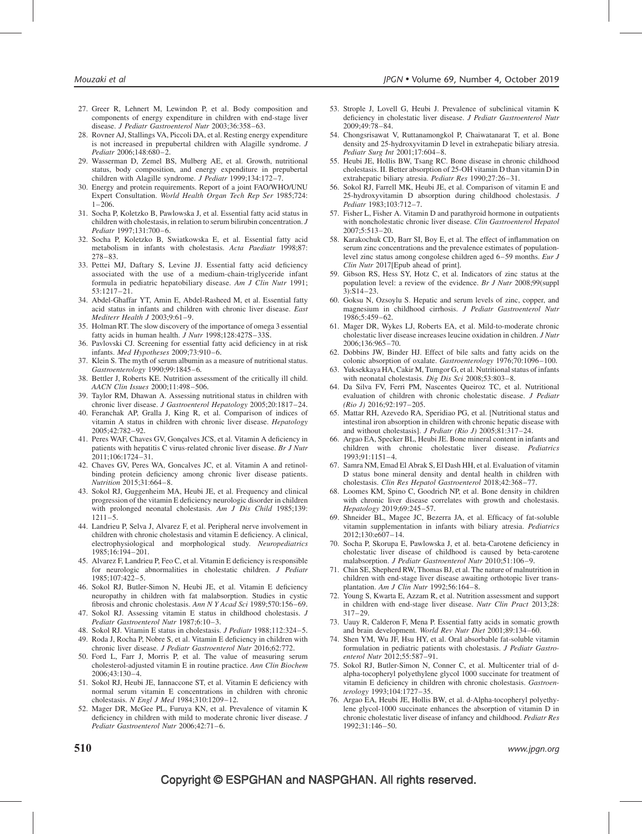- 27. Greer R, Lehnert M, Lewindon P, et al. Body composition and components of energy expenditure in children with end-stage liver disease. J Pediatr Gastroenterol Nutr 2003;36:358–63.
- 28. Rovner AJ, Stallings VA, Piccoli DA, et al. Resting energy expenditure is not increased in prepubertal children with Alagille syndrome. J Pediatr 2006;148:680–2.
- 29. Wasserman D, Zemel BS, Mulberg AE, et al. Growth, nutritional status, body composition, and energy expenditure in prepubertal children with Alagille syndrome. J Pediatr 1999;134:172-7.
- 30. Energy and protein requirements. Report of a joint FAO/WHO/UNU Expert Consultation. World Health Organ Tech Rep Ser 1985;724: 1–206.
- 31. Socha P, Koletzko B, Pawlowska J, et al. Essential fatty acid status in children with cholestasis, in relation to serum bilirubin concentration. J Pediatr 1997;131:700–6.
- 32. Socha P, Koletzko B, Swiatkowska E, et al. Essential fatty acid metabolism in infants with cholestasis. Acta Paediatr 1998;87: 278–83.
- 33. Pettei MJ, Daftary S, Levine JJ. Essential fatty acid deficiency associated with the use of a medium-chain-triglyceride infant formula in pediatric hepatobiliary disease. Am J Clin Nutr 1991;  $53:1217 - 21$ .
- 34. Abdel-Ghaffar YT, Amin E, Abdel-Rasheed M, et al. Essential fatty acid status in infants and children with chronic liver disease. East Mediterr Health J 2003;9:61–9.
- 35. Holman RT. The slow discovery of the importance of omega 3 essential fatty acids in human health. J Nutr 1998;128:427S–33S.
- 36. Pavlovski CJ. Screening for essential fatty acid deficiency in at risk infants. Med Hypotheses 2009;73:910–6.
- 37. Klein S. The myth of serum albumin as a measure of nutritional status. Gastroenterology 1990;99:1845–6.
- 38. Bettler J, Roberts KE. Nutrition assessment of the critically ill child. AACN Clin Issues 2000;11:498–506.
- 39. Taylor RM, Dhawan A. Assessing nutritional status in children with chronic liver disease. J Gastroenterol Hepatology 2005;20:1817–24.
- 40. Feranchak AP, Gralla J, King R, et al. Comparison of indices of vitamin A status in children with chronic liver disease. Hepatology 2005;42:782–92.
- 41. Peres WAF, Chaves GV, Gonçalves JCS, et al. Vitamin A deficiency in patients with hepatitis C virus-related chronic liver disease. Br J Nutr 2011;106:1724–31.
- 42. Chaves GV, Peres WA, Goncalves JC, et al. Vitamin A and retinolbinding protein deficiency among chronic liver disease patients. Nutrition 2015;31:664–8.
- 43. Sokol RJ, Guggenheim MA, Heubi JE, et al. Frequency and clinical progression of the vitamin E deficiency neurologic disorder in children with prolonged neonatal cholestasis. Am J Dis Child 1985;139: 1211–5.
- 44. Landrieu P, Selva J, Alvarez F, et al. Peripheral nerve involvement in children with chronic cholestasis and vitamin E deficiency. A clinical, electrophysiological and morphological study. Neuropediatrics 1985;16:194–201.
- 45. Alvarez F, Landrieu P, Feo C, et al. Vitamin E deficiency is responsible for neurologic abnormalities in cholestatic children. J Pediatr 1985;107:422–5.
- 46. Sokol RJ, Butler-Simon N, Heubi JE, et al. Vitamin E deficiency neuropathy in children with fat malabsorption. Studies in cystic fibrosis and chronic cholestasis. Ann N Y Acad Sci 1989;570:156–69.
- 47. Sokol RJ. Assessing vitamin E status in childhood cholestasis. J Pediatr Gastroenterol Nutr 1987;6:10–3.
- 48. Sokol RJ. Vitamin E status in cholestasis. J Pediatr 1988;112:324–5.
- 49. Roda J, Rocha P, Nobre S, et al. Vitamin E deficiency in children with chronic liver disease. J Pediatr Gastroenterol Nutr 2016;62:772.
- 50. Ford L, Farr J, Morris P, et al. The value of measuring serum cholesterol-adjusted vitamin E in routine practice. Ann Clin Biochem 2006;43:130–4.
- 51. Sokol RJ, Heubi JE, Iannaccone ST, et al. Vitamin E deficiency with normal serum vitamin E concentrations in children with chronic cholestasis. N Engl J Med 1984;310:1209–12.
- 52. Mager DR, McGee PL, Furuya KN, et al. Prevalence of vitamin K deficiency in children with mild to moderate chronic liver disease. J Pediatr Gastroenterol Nutr 2006;42:71–6.
- 53. Strople J, Lovell G, Heubi J. Prevalence of subclinical vitamin K deficiency in cholestatic liver disease. J Pediatr Gastroenterol Nutr 2009;49:78–84.
- 54. Chongsrisawat V, Ruttanamongkol P, Chaiwatanarat T, et al. Bone density and 25-hydroxyvitamin D level in extrahepatic biliary atresia. Pediatr Surg Int 2001;17:604–8.
- 55. Heubi JE, Hollis BW, Tsang RC. Bone disease in chronic childhood cholestasis. II. Better absorption of 25-OH vitamin D than vitamin D in extrahepatic biliary atresia. Pediatr Res 1990;27:26–31.
- 56. Sokol RJ, Farrell MK, Heubi JE, et al. Comparison of vitamin E and 25-hydroxyvitamin D absorption during childhood cholestasis. J Pediatr 1983;103:712–7.
- 57. Fisher L, Fisher A. Vitamin D and parathyroid hormone in outpatients with noncholestatic chronic liver disease. Clin Gastroenterol Hepatol  $2007:5:513-20.$
- 58. Karakochuk CD, Barr SI, Boy E, et al. The effect of inflammation on serum zinc concentrations and the prevalence estimates of populationlevel zinc status among congolese children aged 6–59 months. Eur J Clin Nutr 2017[Epub ahead of print].
- 59. Gibson RS, Hess SY, Hotz C, et al. Indicators of zinc status at the population level: a review of the evidence. Br J Nutr 2008;99(suppl 3):S14–23.
- 60. Goksu N, Ozsoylu S. Hepatic and serum levels of zinc, copper, and magnesium in childhood cirrhosis. J Pediatr Gastroenterol Nutr 1986;5:459–62.
- 61. Mager DR, Wykes LJ, Roberts EA, et al. Mild-to-moderate chronic cholestatic liver disease increases leucine oxidation in children. J Nutr 2006;136:965–70.
- 62. Dobbins JW, Binder HJ. Effect of bile salts and fatty acids on the colonic absorption of oxalate. Gastroenterology 1976;70:1096–100.
- 63. Yuksekkaya HA, Cakir M, Tumgor G, et al. Nutritional status of infants with neonatal cholestasis. Dig Dis Sci 2008;53:803-8.
- 64. Da Silva FV, Ferri PM, Nascentes Queiroz TC, et al. Nutritional evaluation of children with chronic cholestatic disease. J Pediatr (Rio J) 2016;92:197–205.
- 65. Mattar RH, Azevedo RA, Speridiao PG, et al. [Nutritional status and intestinal iron absorption in children with chronic hepatic disease with and without cholestasis]. J Pediatr (Rio J) 2005;81:317–24.
- 66. Argao EA, Specker BL, Heubi JE. Bone mineral content in infants and children with chronic cholestatic liver disease. Pediatrics 1993;91:1151–4.
- 67. Samra NM, Emad El Abrak S, El Dash HH, et al. Evaluation of vitamin D status bone mineral density and dental health in children with cholestasis. Clin Res Hepatol Gastroenterol 2018;42:368–77.
- 68. Loomes KM, Spino C, Goodrich NP, et al. Bone density in children with chronic liver disease correlates with growth and cholestasis. Hepatology 2019;69:245–57.
- 69. Shneider BL, Magee JC, Bezerra JA, et al. Efficacy of fat-soluble vitamin supplementation in infants with biliary atresia. Pediatrics 2012;130:e607–14.
- 70. Socha P, Skorupa E, Pawlowska J, et al. beta-Carotene deficiency in cholestatic liver disease of childhood is caused by beta-carotene malabsorption. J Pediatr Gastroenterol Nutr 2010;51:106–9.
- 71. Chin SE, Shepherd RW, Thomas BJ, et al. The nature of malnutrition in children with end-stage liver disease awaiting orthotopic liver transplantation. Am J Clin Nutr 1992;56:164–8.
- 72. Young S, Kwarta E, Azzam R, et al. Nutrition assessment and support in children with end-stage liver disease. Nutr Clin Pract 2013;28: 317–29.
- 73. Uauy R, Calderon F, Mena P. Essential fatty acids in somatic growth and brain development. World Rev Nutr Diet 2001;89:134–60.
- 74. Shen YM, Wu JF, Hsu HY, et al. Oral absorbable fat-soluble vitamin formulation in pediatric patients with cholestasis. J Pediatr Gastroenterol Nutr 2012;55:587–91.
- 75. Sokol RJ, Butler-Simon N, Conner C, et al. Multicenter trial of dalpha-tocopheryl polyethylene glycol 1000 succinate for treatment of vitamin E deficiency in children with chronic cholestasis. Gastroenterology 1993;104:1727–35.
- 76. Argao EA, Heubi JE, Hollis BW, et al. d-Alpha-tocopheryl polyethylene glycol-1000 succinate enhances the absorption of vitamin D in chronic cholestatic liver disease of infancy and childhood. Pediatr Res 1992;31:146–50.